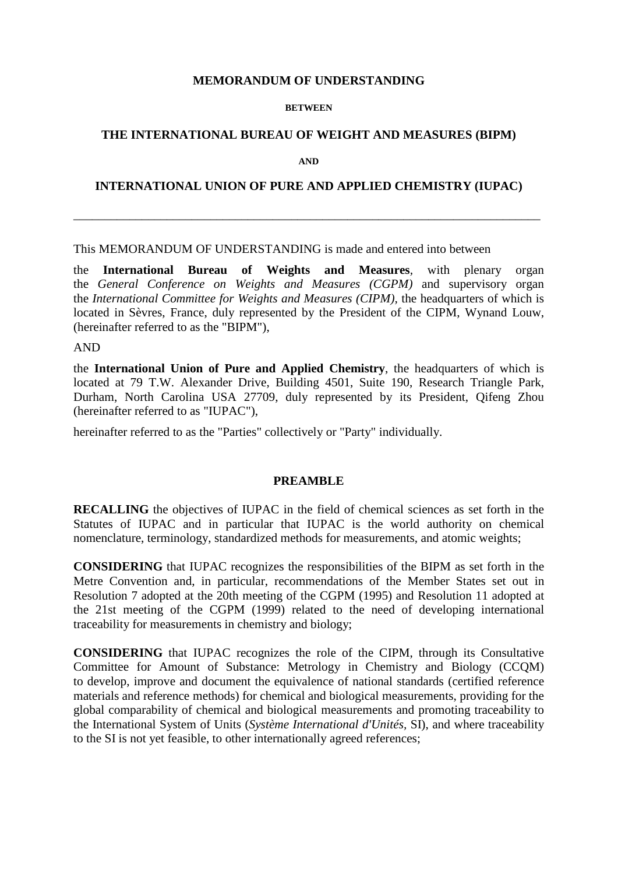### **MEMORANDUM OF UNDERSTANDING**

#### **BETWEEN**

## **THE INTERNATIONAL BUREAU OF WEIGHT AND MEASURES (BIPM)**

**AND**

### **INTERNATIONAL UNION OF PURE AND APPLIED CHEMISTRY (IUPAC)**

\_\_\_\_\_\_\_\_\_\_\_\_\_\_\_\_\_\_\_\_\_\_\_\_\_\_\_\_\_\_\_\_\_\_\_\_\_\_\_\_\_\_\_\_\_\_\_\_\_\_\_\_\_\_\_\_\_\_\_\_\_\_\_\_\_\_\_\_\_\_\_\_\_\_\_

#### This MEMORANDUM OF UNDERSTANDING is made and entered into between

the **International Bureau of Weights and Measures***,* with plenary organ the *General Conference on Weights and Measures (CGPM)* and supervisory organ the *International Committee for Weights and Measures (CIPM),* the headquarters of which is located in Sèvres, France, duly represented by the President of the CIPM, Wynand Louw, (hereinafter referred to as the "BIPM"),

### AND

the **International Union of Pure and Applied Chemistry**, the headquarters of which is located at 79 T.W. Alexander Drive, Building 4501, Suite 190, Research Triangle Park, Durham, North Carolina USA 27709, duly represented by its President, Qifeng Zhou (hereinafter referred to as "IUPAC"),

hereinafter referred to as the "Parties" collectively or "Party" individually.

#### **PREAMBLE**

**RECALLING** the objectives of IUPAC in the field of chemical sciences as set forth in the Statutes of IUPAC and in particular that IUPAC is the world authority on chemical nomenclature, terminology, standardized methods for measurements, and atomic weights;

**CONSIDERING** that IUPAC recognizes the responsibilities of the BIPM as set forth in the Metre Convention and, in particular, recommendations of the Member States set out in Resolution 7 adopted at the 20th meeting of the CGPM (1995) and Resolution 11 adopted at the 21st meeting of the CGPM (1999) related to the need of developing international traceability for measurements in chemistry and biology;

**CONSIDERING** that IUPAC recognizes the role of the CIPM, through its Consultative Committee for Amount of Substance: Metrology in Chemistry and Biology (CCQM) to develop, improve and document the equivalence of national standards (certified reference materials and reference methods) for chemical and biological measurements, providing for the global comparability of chemical and biological measurements and promoting traceability to the International System of Units (*Système International d'Unités,* SI), and where traceability to the SI is not yet feasible, to other internationally agreed references;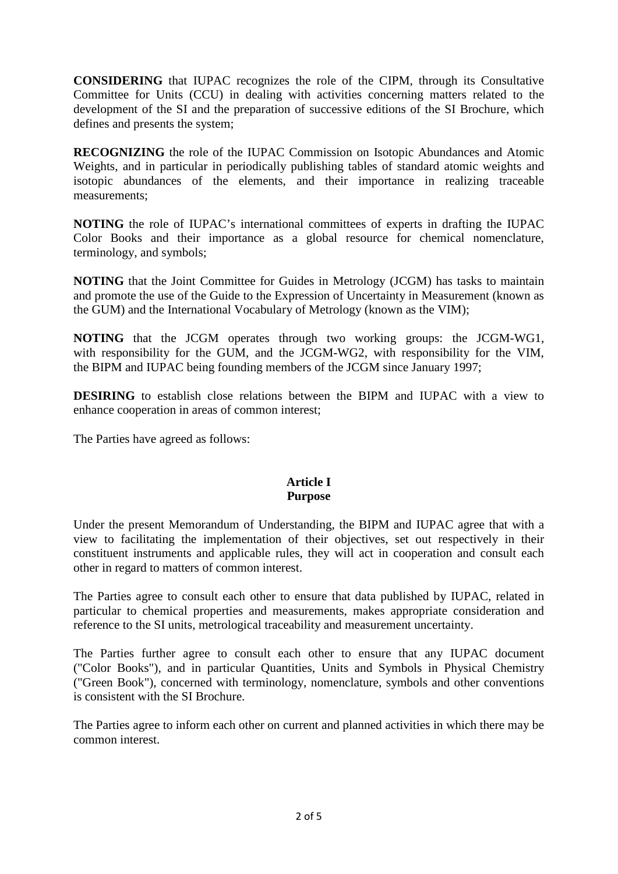**CONSIDERING** that IUPAC recognizes the role of the CIPM, through its Consultative Committee for Units (CCU) in dealing with activities concerning matters related to the development of the SI and the preparation of successive editions of the SI Brochure, which defines and presents the system;

**RECOGNIZING** the role of the IUPAC Commission on Isotopic Abundances and Atomic Weights, and in particular in periodically publishing tables of standard atomic weights and isotopic abundances of the elements, and their importance in realizing traceable measurements;

**NOTING** the role of IUPAC's international committees of experts in drafting the IUPAC Color Books and their importance as a global resource for chemical nomenclature, terminology, and symbols;

**NOTING** that the Joint Committee for Guides in Metrology (JCGM) has tasks to maintain and promote the use of the Guide to the Expression of Uncertainty in Measurement (known as the GUM) and the International Vocabulary of Metrology (known as the VIM);

**NOTING** that the JCGM operates through two working groups: the JCGM-WG1, with responsibility for the GUM, and the JCGM-WG2, with responsibility for the VIM, the BIPM and IUPAC being founding members of the JCGM since January 1997;

**DESIRING** to establish close relations between the BIPM and IUPAC with a view to enhance cooperation in areas of common interest;

The Parties have agreed as follows:

# **Article I Purpose**

Under the present Memorandum of Understanding, the BIPM and IUPAC agree that with a view to facilitating the implementation of their objectives, set out respectively in their constituent instruments and applicable rules, they will act in cooperation and consult each other in regard to matters of common interest.

The Parties agree to consult each other to ensure that data published by IUPAC, related in particular to chemical properties and measurements, makes appropriate consideration and reference to the SI units, metrological traceability and measurement uncertainty.

The Parties further agree to consult each other to ensure that any IUPAC document ("Color Books"), and in particular Quantities, Units and Symbols in Physical Chemistry ("Green Book"), concerned with terminology, nomenclature, symbols and other conventions is consistent with the SI Brochure.

The Parties agree to inform each other on current and planned activities in which there may be common interest.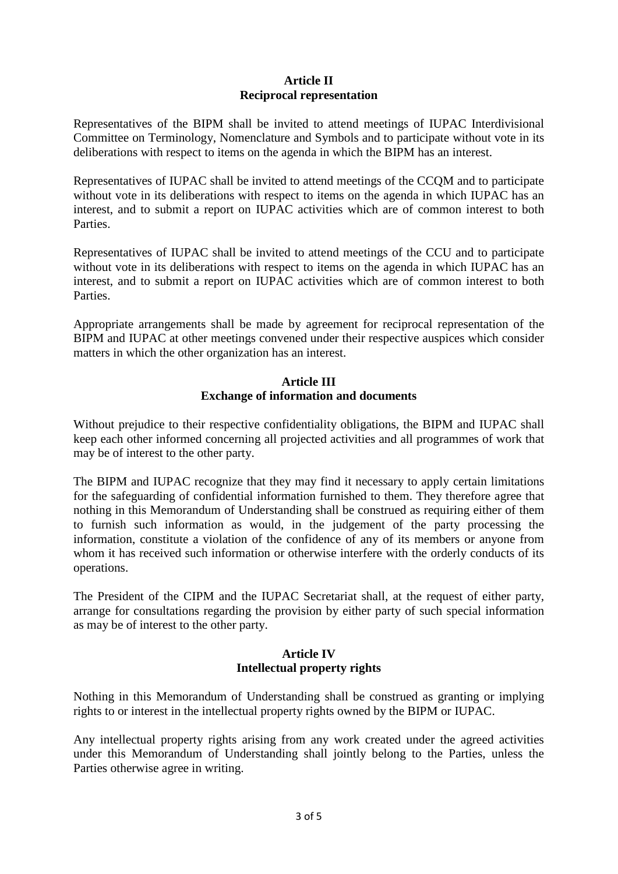# **Article II Reciprocal representation**

Representatives of the BIPM shall be invited to attend meetings of IUPAC Interdivisional Committee on Terminology, Nomenclature and Symbols and to participate without vote in its deliberations with respect to items on the agenda in which the BIPM has an interest.

Representatives of IUPAC shall be invited to attend meetings of the CCQM and to participate without vote in its deliberations with respect to items on the agenda in which IUPAC has an interest, and to submit a report on IUPAC activities which are of common interest to both Parties.

Representatives of IUPAC shall be invited to attend meetings of the CCU and to participate without vote in its deliberations with respect to items on the agenda in which IUPAC has an interest, and to submit a report on IUPAC activities which are of common interest to both Parties.

Appropriate arrangements shall be made by agreement for reciprocal representation of the BIPM and IUPAC at other meetings convened under their respective auspices which consider matters in which the other organization has an interest.

## **Article III Exchange of information and documents**

Without prejudice to their respective confidentiality obligations, the BIPM and IUPAC shall keep each other informed concerning all projected activities and all programmes of work that may be of interest to the other party.

The BIPM and IUPAC recognize that they may find it necessary to apply certain limitations for the safeguarding of confidential information furnished to them. They therefore agree that nothing in this Memorandum of Understanding shall be construed as requiring either of them to furnish such information as would, in the judgement of the party processing the information, constitute a violation of the confidence of any of its members or anyone from whom it has received such information or otherwise interfere with the orderly conducts of its operations.

The President of the CIPM and the IUPAC Secretariat shall, at the request of either party, arrange for consultations regarding the provision by either party of such special information as may be of interest to the other party.

# **Article IV Intellectual property rights**

Nothing in this Memorandum of Understanding shall be construed as granting or implying rights to or interest in the intellectual property rights owned by the BIPM or IUPAC.

Any intellectual property rights arising from any work created under the agreed activities under this Memorandum of Understanding shall jointly belong to the Parties, unless the Parties otherwise agree in writing.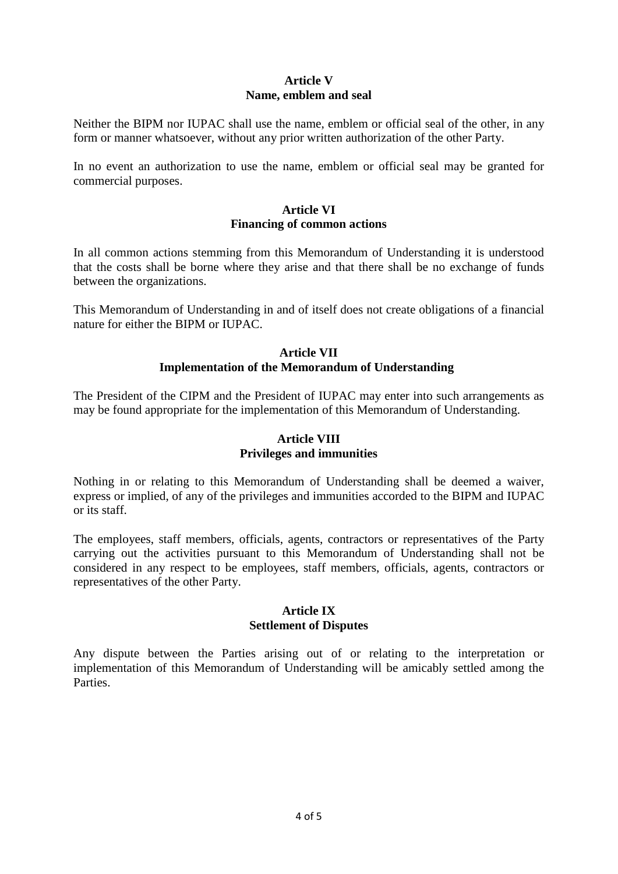# **Article V Name, emblem and seal**

Neither the BIPM nor IUPAC shall use the name, emblem or official seal of the other, in any form or manner whatsoever, without any prior written authorization of the other Party.

In no event an authorization to use the name, emblem or official seal may be granted for commercial purposes.

### **Article VI Financing of common actions**

In all common actions stemming from this Memorandum of Understanding it is understood that the costs shall be borne where they arise and that there shall be no exchange of funds between the organizations.

This Memorandum of Understanding in and of itself does not create obligations of a financial nature for either the BIPM or IUPAC.

## **Article VII Implementation of the Memorandum of Understanding**

The President of the CIPM and the President of IUPAC may enter into such arrangements as may be found appropriate for the implementation of this Memorandum of Understanding.

# **Article VIII Privileges and immunities**

Nothing in or relating to this Memorandum of Understanding shall be deemed a waiver, express or implied, of any of the privileges and immunities accorded to the BIPM and IUPAC or its staff.

The employees, staff members, officials, agents, contractors or representatives of the Party carrying out the activities pursuant to this Memorandum of Understanding shall not be considered in any respect to be employees, staff members, officials, agents, contractors or representatives of the other Party.

## **Article IX Settlement of Disputes**

Any dispute between the Parties arising out of or relating to the interpretation or implementation of this Memorandum of Understanding will be amicably settled among the Parties.